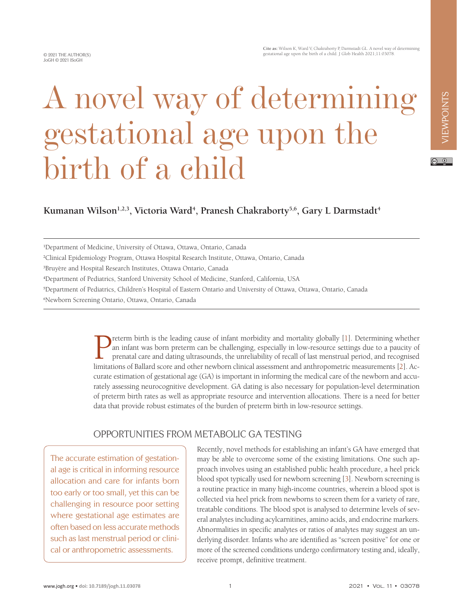# VIEWPOINTS VIEWPOINTS

# $\circ$   $\circ$

# Kumanan Wilson<sup>1,2,3</sup>, Victoria Ward<sup>4</sup>, Pranesh Chakraborty<sup>5,6</sup>, Gary L Darmstadt<sup>4</sup>

gestational age upon the

A novel way of determining

1 Department of Medicine, University of Ottawa, Ottawa, Ontario, Canada

birth of a child

3 Bruyère and Hospital Research Institutes, Ottawa Ontario, Canada

4 Department of Pediatrics, Stanford University School of Medicine, Stanford, California, USA

5 Department of Pediatrics, Children's Hospital of Eastern Ontario and University of Ottawa, Ottawa, Ontario, Canada

6 Newborn Screening Ontario, Ottawa, Ontario, Canada

**Preterm birth is the leading cause of infant morbidity and mortality globally [[1\]](#page-2-0). Determining whether<br>an infant was born preterm can be challenging, especially in low-resource settings due to a paucity of<br>prenatal care a** an infant was born preterm can be challenging, especially in low-resource settings due to a paucity of prenatal care and dating ultrasounds, the unreliability of recall of last menstrual period, and recognised limitations of Ballard score and other newborn clinical assessment and anthropometric measurements [[2\]](#page-2-1). Accurate estimation of gestational age (GA) is important in informing the medical care of the newborn and accurately assessing neurocognitive development. GA dating is also necessary for population-level determination of preterm birth rates as well as appropriate resource and intervention allocations. There is a need for better data that provide robust estimates of the burden of preterm birth in low-resource settings.

### OPPORTUNITIES FROM METABOLIC GA TESTING

The accurate estimation of gestational age is critical in informing resource allocation and care for infants born too early or too small, yet this can be challenging in resource poor setting where gestational age estimates are often based on less accurate methods such as last menstrual period or clinical or anthropometric assessments.

Recently, novel methods for establishing an infant's GA have emerged that may be able to overcome some of the existing limitations. One such approach involves using an established public health procedure, a heel prick blood spot typically used for newborn screening [\[3](#page-2-2)]. Newborn screening is a routine practice in many high-income countries, wherein a blood spot is collected via heel prick from newborns to screen them for a variety of rare, treatable conditions. The blood spot is analysed to determine levels of several analytes including acylcarnitines, amino acids, and endocrine markers. Abnormalities in specific analytes or ratios of analytes may suggest an underlying disorder. Infants who are identified as "screen positive" for one or more of the screened conditions undergo confirmatory testing and, ideally, receive prompt, definitive treatment.

<sup>2</sup> Clinical Epidemiology Program, Ottawa Hospital Research Institute, Ottawa, Ontario, Canada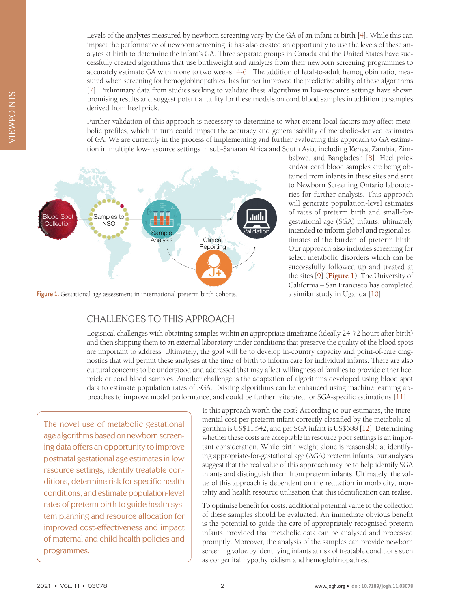Levels of the analytes measured by newborn screening vary by the GA of an infant at birth [\[4](#page-2-3)]. While this can impact the performance of newborn screening, it has also created an opportunity to use the levels of these analytes at birth to determine the infant's GA. Three separate groups in Canada and the United States have successfully created algorithms that use birthweight and analytes from their newborn screening programmes to accurately estimate GA within one to two weeks [\[4](#page-2-3)[-6\]](#page-2-4). The addition of fetal-to-adult hemoglobin ratio, measured when screening for hemoglobinopathies, has further improved the predictive ability of these algorithms [[7\]](#page-2-5). Preliminary data from studies seeking to validate these algorithms in low-resource settings have shown promising results and suggest potential utility for these models on cord blood samples in addition to samples derived from heel prick.

Further validation of this approach is necessary to determine to what extent local factors may affect metabolic profiles, which in turn could impact the accuracy and generalisability of metabolic-derived estimates of GA. We are currently in the process of implementing and further evaluating this approach to GA estimation in multiple low-resource settings in sub-Saharan Africa and South Asia, including Kenya, Zambia, Zim-

<span id="page-1-0"></span>

Figure 1. Gestational age assessment in international preterm birth cohorts.

#### CHALLENGES TO THIS APPROACH

babwe, and Bangladesh [\[8\]](#page-2-6). Heel prick and/or cord blood samples are being obtained from infants in these sites and sent to Newborn Screening Ontario laboratories for further analysis. This approach will generate population-level estimates of rates of preterm birth and small-forgestational age (SGA) infants, ultimately intended to inform global and regional estimates of the burden of preterm birth. Our approach also includes screening for select metabolic disorders which can be successfully followed up and treated at the sites [\[9\]](#page-2-7) (**[Figure 1](#page-1-0)**). The University of California – San Francisco has completed a similar study in Uganda [\[10\]](#page-3-0).

Logistical challenges with obtaining samples within an appropriate timeframe (ideally 24-72 hours after birth) and then shipping them to an external laboratory under conditions that preserve the quality of the blood spots are important to address. Ultimately, the goal will be to develop in-country capacity and point-of-care diagnostics that will permit these analyses at the time of birth to inform care for individual infants. There are also cultural concerns to be understood and addressed that may affect willingness of families to provide either heel prick or cord blood samples. Another challenge is the adaptation of algorithms developed using blood spot data to estimate population rates of SGA. Existing algorithms can be enhanced using machine learning approaches to improve model performance, and could be further reiterated for SGA-specific estimations [\[11](#page-3-1)].

The novel use of metabolic gestational age algorithms based on newborn screening data offers an opportunity to improve postnatal gestational age estimates in low resource settings, identify treatable conditions, determine risk for specific health conditions, and estimate population-level rates of preterm birth to guide health system planning and resource allocation for improved cost-effectiveness and impact of maternal and child health policies and programmes.

Is this approach worth the cost? According to our estimates, the incremental cost per preterm infant correctly classified by the metabolic algorithm is US\$11542, and per SGA infant is US\$688 [[12\]](#page-3-2). Determining whether these costs are acceptable in resource poor settings is an important consideration. While birth weight alone is reasonable at identifying appropriate-for-gestational age (AGA) preterm infants, our analyses suggest that the real value of this approach may be to help identify SGA infants and distinguish them from preterm infants. Ultimately, the value of this approach is dependent on the reduction in morbidity, mortality and health resource utilisation that this identification can realise.

To optimise benefit for costs, additional potential value to the collection of these samples should be evaluated. An immediate obvious benefit is the potential to guide the care of appropriately recognised preterm infants, provided that metabolic data can be analysed and processed promptly. Moreover, the analysis of the samples can provide newborn screening value by identifying infants at risk of treatable conditions such as congenital hypothyroidism and hemoglobinopathies.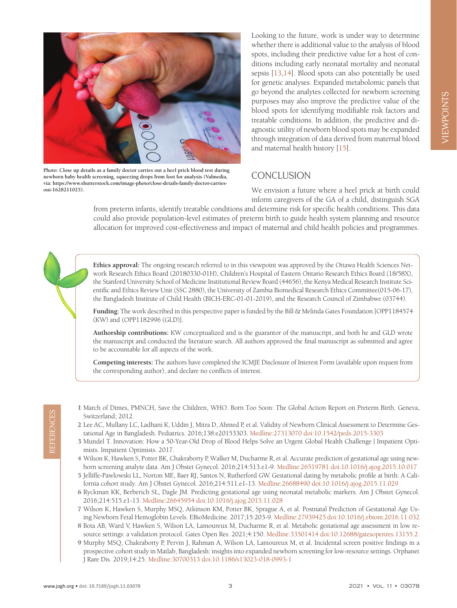

**Photo: Close up details as a family doctor carries out a heel prick blood test during newborn baby health screening, squeezing drops from foot for analysis (Valmedia, via: https://www.shutterstock.com/image-photo/close-details-family-doctor-carriesout-1628211025).**

Looking to the future, work is under way to determine whether there is additional value to the analysis of blood spots, including their predictive value for a host of conditions including early neonatal mortality and neonatal sepsis [[13](#page-3-3)[,14\]](#page-3-4). Blood spots can also potentially be used for genetic analyses. Expanded metabolomic panels that go beyond the analytes collected for newborn screening purposes may also improve the predictive value of the blood spots for identifying modifiable risk factors and treatable conditions. In addition, the predictive and diagnostic utility of newborn blood spots may be expanded through integration of data derived from maternal blood and maternal health history [\[15\]](#page-3-5).

# **CONCLUSION**

We envision a future where a heel prick at birth could inform caregivers of the GA of a child, distinguish SGA

from preterm infants, identify treatable conditions and determine risk for specific health conditions. This data could also provide population-level estimates of preterm birth to guide health system planning and resource allocation for improved cost-effectiveness and impact of maternal and child health policies and programmes.

**Ethics approval:** The ongoing research referred to in this viewpoint was approved by the Ottawa Health Sciences Network Research Ethics Board (20180330-01H), Children's Hospital of Eastern Ontario Research Ethics Board (18/58X), the Stanford University School of Medicine Institutional Review Board (44656), the Kenya Medical Research Institute Scientific and Ethics Review Unit (SSC 2880), the University of Zambia Biomedical Research Ethics Committee(015-06-17), the Bangladesh Institute of Child Health (BICH-ERC-01-01-2019), and the Research Council of Zimbabwe (03744).

**Funding:** The work described in this perspective paper is funded by the Bill & Melinda Gates Foundation [OPP1184574 (KW) and (OPP1182996 (GLD)].

**Authorship contributions:** KW conceptualized and is the guarantor of the manuscript, and both he and GLD wrote the manuscript and conducted the literature search. All authors approved the final manuscript as submitted and agree to be accountable for all aspects of the work.

**Competing interests:** The authors have completed the ICMJE Disclosure of Interest Form (available upon request from the corresponding author), and declare no conflicts of interest.

- <span id="page-2-0"></span>1 March of Dimes, PMNCH, Save the Children, WHO. Born Too Soon: The Global Action Report on Preterm Birth. Geneva, Switzerland; 2012.
- <span id="page-2-1"></span>2 Lee AC, Mullany LC, Ladhani K, Uddin J, Mitra D, Ahmed P, et al. Validity of Newborn Clinical Assessment to Determine Gestational Age in Bangladesh. Pediatrics. 2016;138:e20153303. [Medline:27313070](https://www.ncbi.nlm.nih.gov/entrez/query.fcgi?cmd=Retrieve&db=PubMed&list_uids=27313070&dopt=Abstract) [doi:10.1542/peds.2015-3303](https://doi.org/10.1542/peds.2015-3303)
- <span id="page-2-2"></span>3 Mundel T. Innovation: How a 50-Year-Old Drop of Blood Helps Solve an Urgent Global Health Challenge | Impatient Optimists. Impatient Optimists. 2017.
- <span id="page-2-3"></span>4 Wilson K, Hawken S, Potter BK, Chakraborty P, Walker M, Ducharme R, et al. Accurate prediction of gestational age using newborn screening analyte data. Am J Obstet Gynecol. 2016;214:513.e1-9. [Medline:26519781](https://www.ncbi.nlm.nih.gov/entrez/query.fcgi?cmd=Retrieve&db=PubMed&list_uids=26519781&dopt=Abstract) [doi:10.1016/j.ajog.2015.10.017](https://doi.org/10.1016/j.ajog.2015.10.017)
- 5 Jelliffe-Pawlowski LL, Norton ME, Baer RJ, Santos N, Rutherford GW. Gestational dating by metabolic profile at birth: A California cohort study. Am J Obstet Gynecol. 2016;214:511.e1-13. [Medline:26688490](https://www.ncbi.nlm.nih.gov/entrez/query.fcgi?cmd=Retrieve&db=PubMed&list_uids=26688490&dopt=Abstract) [doi:10.1016/j.ajog.2015.11.029](https://doi.org/10.1016/j.ajog.2015.11.029)
- <span id="page-2-4"></span>6 Ryckman KK, Berberich SL, Dagle JM. Predicting gestational age using neonatal metabolic markers. Am J Obstet Gynecol. 2016;214:515.e1-13. [Medline:26645954](https://www.ncbi.nlm.nih.gov/entrez/query.fcgi?cmd=Retrieve&db=PubMed&list_uids=26645954&dopt=Abstract) [doi:10.1016/j.ajog.2015.11.028](https://doi.org/10.1016/j.ajog.2015.11.028)
- <span id="page-2-5"></span>7 Wilson K, Hawken S, Murphy MSQ, Atkinson KM, Potter BK, Sprague A, et al. Postnatal Prediction of Gestational Age Using Newborn Fetal Hemoglobin Levels. EBioMedicine. 2017;15:203-9. [Medline:27939425](https://www.ncbi.nlm.nih.gov/entrez/query.fcgi?cmd=Retrieve&db=PubMed&list_uids=27939425&dopt=Abstract) [doi:10.1016/j.ebiom.2016.11.032](https://doi.org/10.1016/j.ebiom.2016.11.032)
- <span id="page-2-7"></span><span id="page-2-6"></span>8 Bota AB, Ward V, Hawken S, Wilson LA, Lamoureux M, Ducharme R, et al. Metabolic gestational age assessment in low resource settings: a validation protocol. Gates Open Res. 2021;4:150. [Medline:33501414](https://www.ncbi.nlm.nih.gov/entrez/query.fcgi?cmd=Retrieve&db=PubMed&list_uids=33501414&dopt=Abstract) [doi:10.12688/gatesopenres.13155.2](https://doi.org/10.12688/gatesopenres.13155.2)
- Switzerland; 2012.<br>
21 Lee AC, Mullany IC, Ladhani K, Uddin J, Mitra D, Ahmed P, et al. Validity of Newborn Clinical Assessment to Determine Gestational Age in Bangladesh. Pediatrics. 2016;138:e20153303. Medline:27313070 d 9 Murphy MSQ, Chakraborty P, Pervin J, Rahman A, Wilson LA, Lamoureux M, et al. Incidental screen positive findings in a prospective cohort study in Matlab, Bangladesh: insights into expanded newborn screening for low-resource settings. Orphanet J Rare Dis. 2019;14:25. [Medline:30700313](https://www.ncbi.nlm.nih.gov/entrez/query.fcgi?cmd=Retrieve&db=PubMed&list_uids=30700313&dopt=Abstract) [doi:10.1186/s13023-018-0993-1](https://doi.org/10.1186/s13023-018-0993-1)